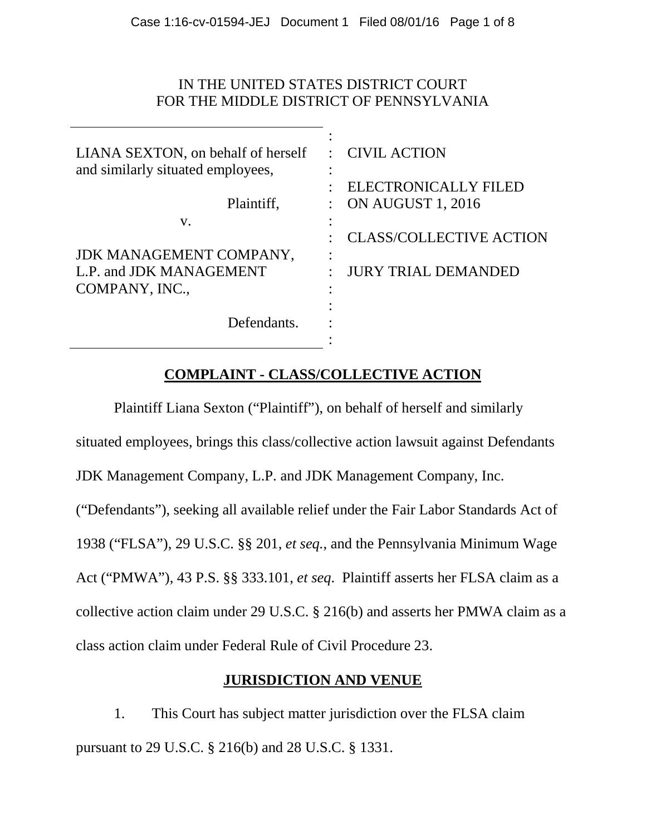# IN THE UNITED STATES DISTRICT COURT FOR THE MIDDLE DISTRICT OF PENNSYLVANIA

| LIANA SEXTON, on behalf of herself | : CIVIL ACTION                 |
|------------------------------------|--------------------------------|
| and similarly situated employees,  | ٠                              |
|                                    | ELECTRONICALLY FILED           |
| Plaintiff,                         | <b>ON AUGUST 1, 2016</b>       |
| V.                                 |                                |
|                                    | <b>CLASS/COLLECTIVE ACTION</b> |
| JDK MANAGEMENT COMPANY,            | ٠                              |
| L.P. and JDK MANAGEMENT            | <b>JURY TRIAL DEMANDED</b>     |
| COMPANY, INC.,                     |                                |
|                                    |                                |
| Defendants.                        |                                |
|                                    |                                |

# **COMPLAINT - CLASS/COLLECTIVE ACTION**

Plaintiff Liana Sexton ("Plaintiff"), on behalf of herself and similarly situated employees, brings this class/collective action lawsuit against Defendants JDK Management Company, L.P. and JDK Management Company, Inc. ("Defendants"), seeking all available relief under the Fair Labor Standards Act of 1938 ("FLSA"), 29 U.S.C. §§ 201, *et seq.*, and the Pennsylvania Minimum Wage Act ("PMWA"), 43 P.S. §§ 333.101, *et seq*. Plaintiff asserts her FLSA claim as a collective action claim under 29 U.S.C. § 216(b) and asserts her PMWA claim as a class action claim under Federal Rule of Civil Procedure 23.

# **JURISDICTION AND VENUE**

1. This Court has subject matter jurisdiction over the FLSA claim pursuant to 29 U.S.C. § 216(b) and 28 U.S.C. § 1331.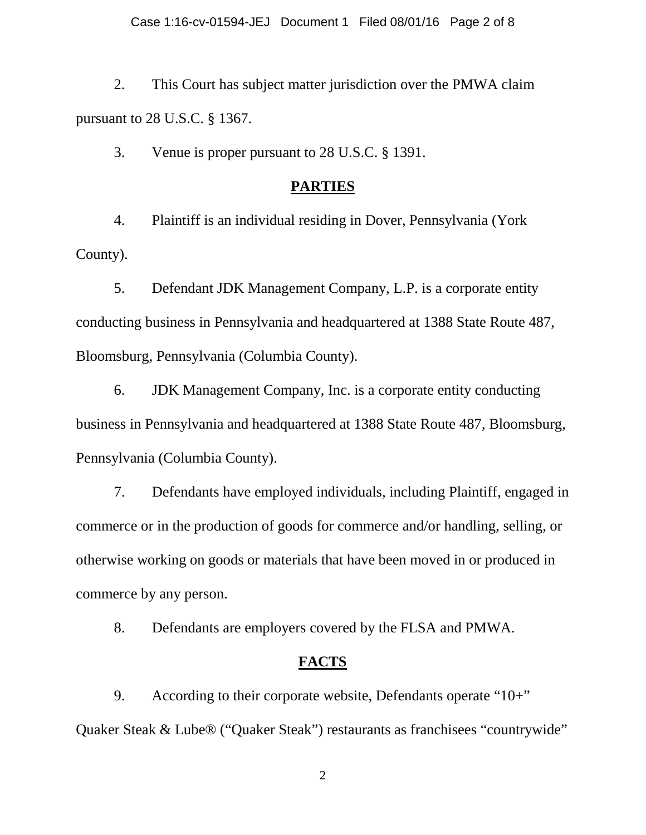2. This Court has subject matter jurisdiction over the PMWA claim pursuant to 28 U.S.C. § 1367.

3. Venue is proper pursuant to 28 U.S.C. § 1391.

## **PARTIES**

4. Plaintiff is an individual residing in Dover, Pennsylvania (York County).

5. Defendant JDK Management Company, L.P. is a corporate entity conducting business in Pennsylvania and headquartered at 1388 State Route 487, Bloomsburg, Pennsylvania (Columbia County).

6. JDK Management Company, Inc. is a corporate entity conducting business in Pennsylvania and headquartered at 1388 State Route 487, Bloomsburg, Pennsylvania (Columbia County).

7. Defendants have employed individuals, including Plaintiff, engaged in commerce or in the production of goods for commerce and/or handling, selling, or otherwise working on goods or materials that have been moved in or produced in commerce by any person.

8. Defendants are employers covered by the FLSA and PMWA.

#### **FACTS**

9. According to their corporate website, Defendants operate "10+" Quaker Steak & Lube® ("Quaker Steak") restaurants as franchisees "countrywide"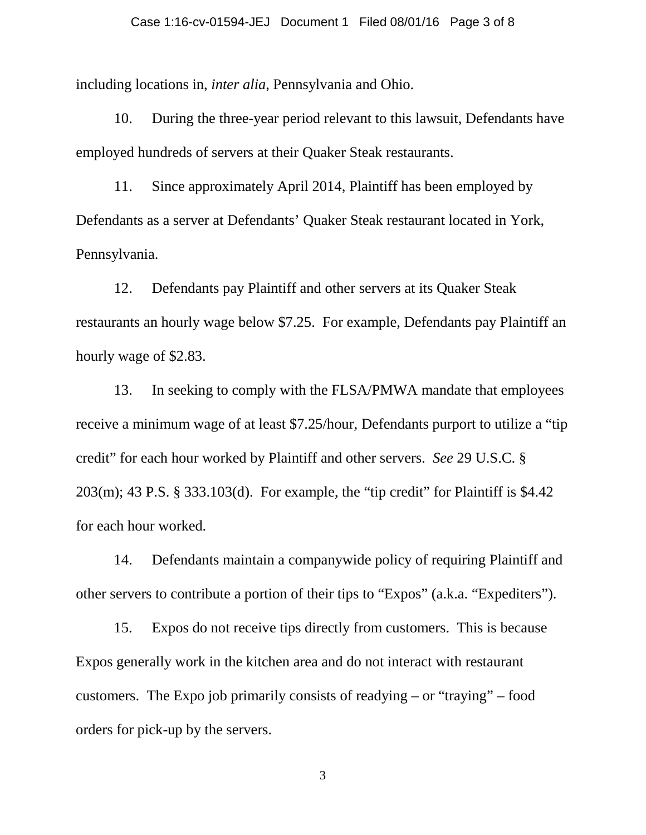# Case 1:16-cv-01594-JEJ Document 1 Filed 08/01/16 Page 3 of 8

including locations in, *inter alia*, Pennsylvania and Ohio.

10. During the three-year period relevant to this lawsuit, Defendants have employed hundreds of servers at their Quaker Steak restaurants.

11. Since approximately April 2014, Plaintiff has been employed by Defendants as a server at Defendants' Quaker Steak restaurant located in York, Pennsylvania.

12. Defendants pay Plaintiff and other servers at its Quaker Steak restaurants an hourly wage below \$7.25. For example, Defendants pay Plaintiff an hourly wage of \$2.83.

13. In seeking to comply with the FLSA/PMWA mandate that employees receive a minimum wage of at least \$7.25/hour, Defendants purport to utilize a "tip credit" for each hour worked by Plaintiff and other servers. *See* 29 U.S.C. § 203(m); 43 P.S. § 333.103(d). For example, the "tip credit" for Plaintiff is \$4.42 for each hour worked.

14. Defendants maintain a companywide policy of requiring Plaintiff and other servers to contribute a portion of their tips to "Expos" (a.k.a. "Expediters").

15. Expos do not receive tips directly from customers. This is because Expos generally work in the kitchen area and do not interact with restaurant customers. The Expo job primarily consists of readying – or "traying" – food orders for pick-up by the servers.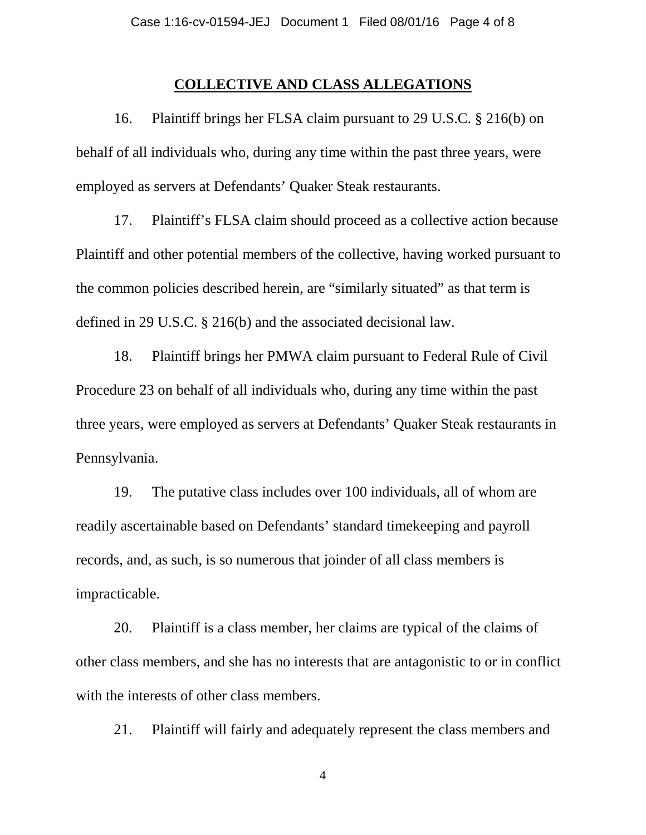## **COLLECTIVE AND CLASS ALLEGATIONS**

16. Plaintiff brings her FLSA claim pursuant to 29 U.S.C. § 216(b) on behalf of all individuals who, during any time within the past three years, were employed as servers at Defendants' Quaker Steak restaurants.

17. Plaintiff's FLSA claim should proceed as a collective action because Plaintiff and other potential members of the collective, having worked pursuant to the common policies described herein, are "similarly situated" as that term is defined in 29 U.S.C. § 216(b) and the associated decisional law.

18. Plaintiff brings her PMWA claim pursuant to Federal Rule of Civil Procedure 23 on behalf of all individuals who, during any time within the past three years, were employed as servers at Defendants' Quaker Steak restaurants in Pennsylvania.

19. The putative class includes over 100 individuals, all of whom are readily ascertainable based on Defendants' standard timekeeping and payroll records, and, as such, is so numerous that joinder of all class members is impracticable.

20. Plaintiff is a class member, her claims are typical of the claims of other class members, and she has no interests that are antagonistic to or in conflict with the interests of other class members.

21. Plaintiff will fairly and adequately represent the class members and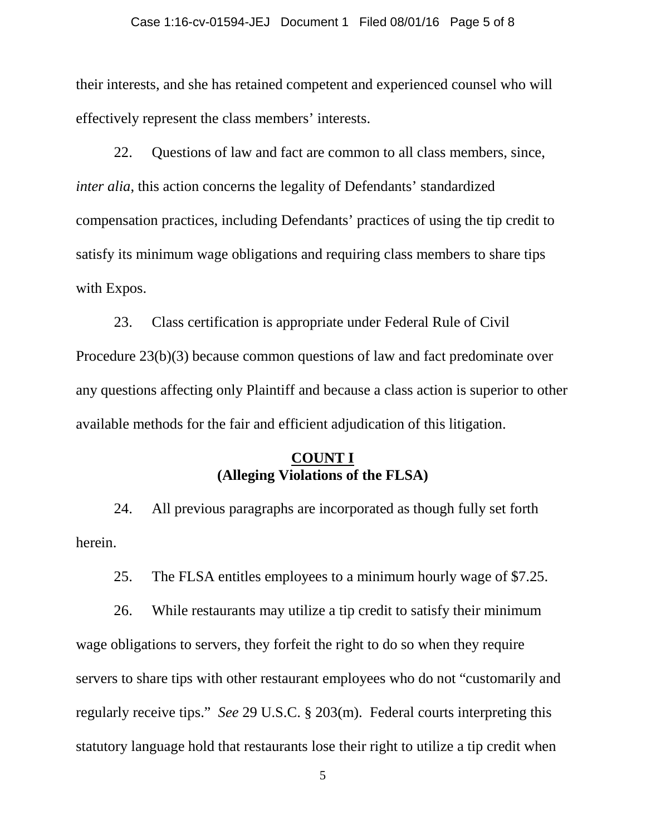#### Case 1:16-cv-01594-JEJ Document 1 Filed 08/01/16 Page 5 of 8

their interests, and she has retained competent and experienced counsel who will effectively represent the class members' interests.

22. Questions of law and fact are common to all class members, since, *inter alia*, this action concerns the legality of Defendants' standardized compensation practices, including Defendants' practices of using the tip credit to satisfy its minimum wage obligations and requiring class members to share tips with Expos.

23. Class certification is appropriate under Federal Rule of Civil Procedure 23(b)(3) because common questions of law and fact predominate over any questions affecting only Plaintiff and because a class action is superior to other available methods for the fair and efficient adjudication of this litigation.

# **COUNT I (Alleging Violations of the FLSA)**

24. All previous paragraphs are incorporated as though fully set forth herein.

25. The FLSA entitles employees to a minimum hourly wage of \$7.25.

26. While restaurants may utilize a tip credit to satisfy their minimum wage obligations to servers, they forfeit the right to do so when they require servers to share tips with other restaurant employees who do not "customarily and regularly receive tips." *See* 29 U.S.C. § 203(m). Federal courts interpreting this statutory language hold that restaurants lose their right to utilize a tip credit when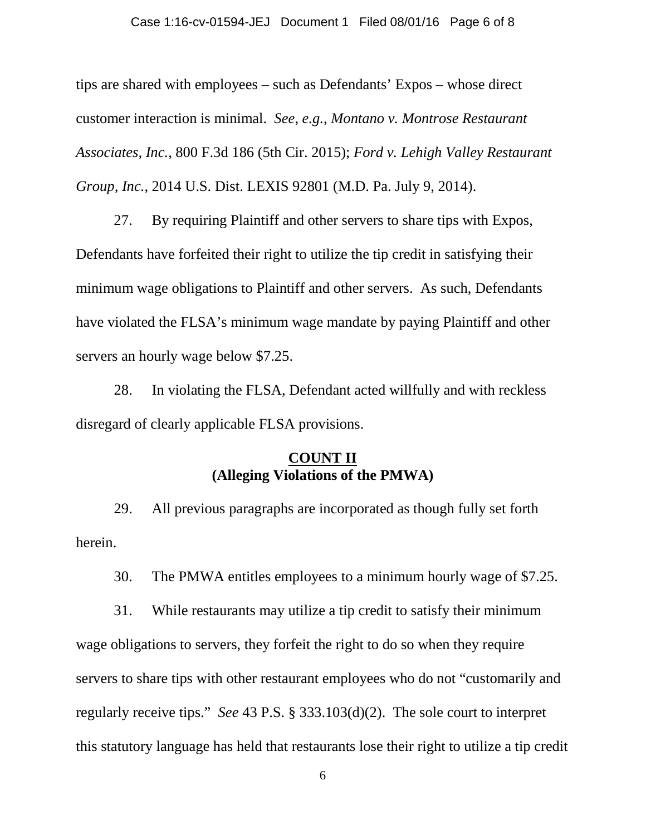#### Case 1:16-cv-01594-JEJ Document 1 Filed 08/01/16 Page 6 of 8

tips are shared with employees – such as Defendants' Expos – whose direct customer interaction is minimal. *See*, *e.g.*, *Montano v. Montrose Restaurant Associates, Inc.*, 800 F.3d 186 (5th Cir. 2015); *Ford v. Lehigh Valley Restaurant Group, Inc.*, 2014 U.S. Dist. LEXIS 92801 (M.D. Pa. July 9, 2014).

27. By requiring Plaintiff and other servers to share tips with Expos, Defendants have forfeited their right to utilize the tip credit in satisfying their minimum wage obligations to Plaintiff and other servers. As such, Defendants have violated the FLSA's minimum wage mandate by paying Plaintiff and other servers an hourly wage below \$7.25.

28. In violating the FLSA, Defendant acted willfully and with reckless disregard of clearly applicable FLSA provisions.

# **COUNT II (Alleging Violations of the PMWA)**

29. All previous paragraphs are incorporated as though fully set forth herein.

30. The PMWA entitles employees to a minimum hourly wage of \$7.25.

31. While restaurants may utilize a tip credit to satisfy their minimum wage obligations to servers, they forfeit the right to do so when they require servers to share tips with other restaurant employees who do not "customarily and regularly receive tips." *See* 43 P.S. § 333.103(d)(2). The sole court to interpret this statutory language has held that restaurants lose their right to utilize a tip credit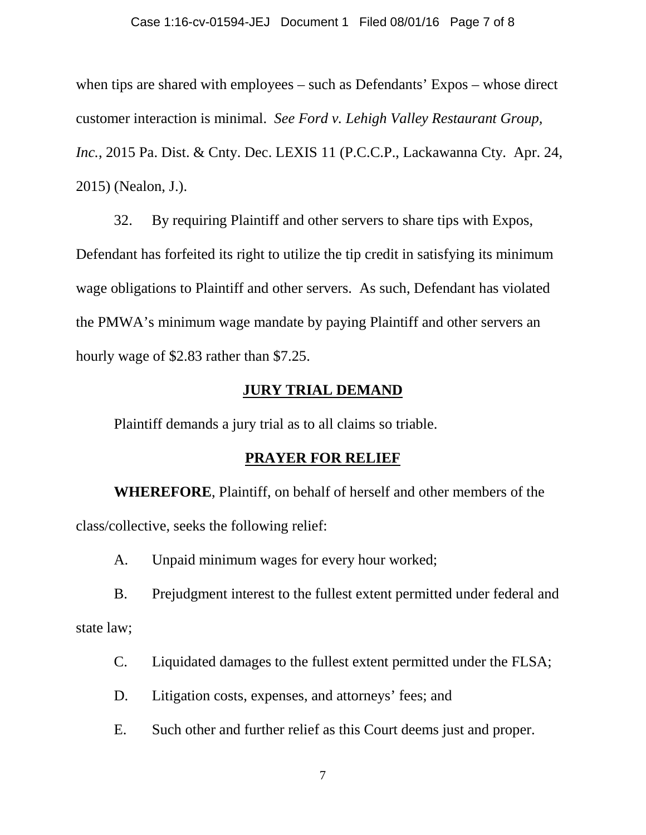#### Case 1:16-cv-01594-JEJ Document 1 Filed 08/01/16 Page 7 of 8

when tips are shared with employees – such as Defendants' Expos – whose direct customer interaction is minimal. *See Ford v. Lehigh Valley Restaurant Group, Inc.*, 2015 Pa. Dist. & Cnty. Dec. LEXIS 11 (P.C.C.P., Lackawanna Cty. Apr. 24, 2015) (Nealon, J.).

32. By requiring Plaintiff and other servers to share tips with Expos, Defendant has forfeited its right to utilize the tip credit in satisfying its minimum wage obligations to Plaintiff and other servers. As such, Defendant has violated the PMWA's minimum wage mandate by paying Plaintiff and other servers an hourly wage of \$2.83 rather than \$7.25.

## **JURY TRIAL DEMAND**

Plaintiff demands a jury trial as to all claims so triable.

#### **PRAYER FOR RELIEF**

**WHEREFORE**, Plaintiff, on behalf of herself and other members of the class/collective, seeks the following relief:

A. Unpaid minimum wages for every hour worked;

B. Prejudgment interest to the fullest extent permitted under federal and state law;

- C. Liquidated damages to the fullest extent permitted under the FLSA;
- D. Litigation costs, expenses, and attorneys' fees; and
- E. Such other and further relief as this Court deems just and proper.